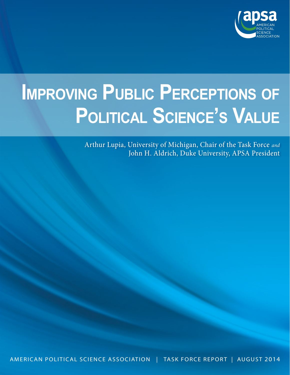

# **Improving Public Perceptions of Political Science's Value**

Arthur Lupia, University of Michigan, Chair of the Task Force *and* John H. Aldrich, Duke University, APSA President

American Political Science Association | Task Force Report | AUGUST 2014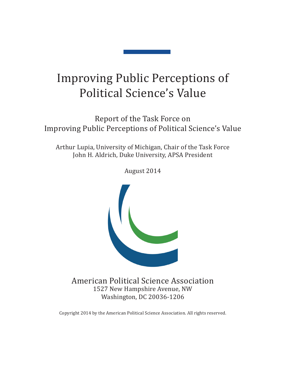# Improving Public Perceptions of Political Science's Value

Report of the Task Force on Improving Public Perceptions of Political Science's Value

Arthur Lupia, University of Michigan, Chair of the Task Force John H. Aldrich, Duke University, APSA President

American Political Science Association 1527 New Hampshire Avenue, NW Washington, DC 20036-1206

Copyright 2014 by the American Political Science Association. All rights reserved.

August 2014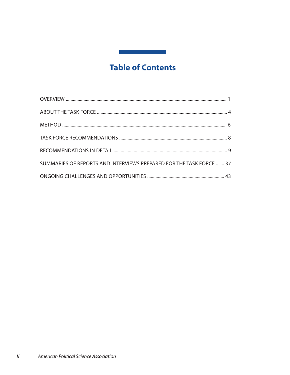# **Table of Contents**

| SUMMARIES OF REPORTS AND INTERVIEWS PREPARED FOR THE TASK FORCE  37 |
|---------------------------------------------------------------------|
|                                                                     |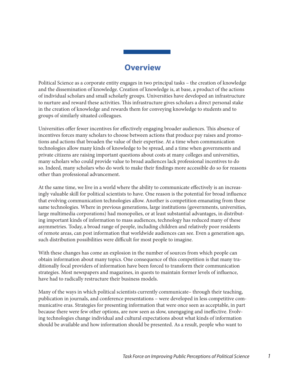# **Overview**

Political Science as a corporate entity engages in two principal tasks – the creation of knowledge and the dissemination of knowledge. Creation of knowledge is, at base, a product of the actions of individual scholars and small scholarly groups. Universities have developed an infrastructure to nurture and reward these activities. This infrastructure gives scholars a direct personal stake in the creation of knowledge and rewards them for conveying knowledge to students and to groups of similarly situated colleagues.

Universities offer fewer incentives for effectively engaging broader audiences. This absence of incentives forces many scholars to choose between actions that produce pay raises and promotions and actions that broaden the value of their expertise. At a time when communication technologies allow many kinds of knowledge to be spread, and a time when governments and private citizens are raising important questions about costs at many colleges and universities, many scholars who could provide value to broad audiences lack professional incentives to do so. Indeed, many scholars who do work to make their findings more accessible do so for reasons other than professional advancement.

At the same time, we live in a world where the ability to communicate effectively is an increasingly valuable skill for political scientists to have. One reason is the potential for broad influence that evolving communication technologies allow. Another is competition emanating from these same technologies. Where in previous generations, large institutions (governments, universities, large multimedia corporations) had monopolies, or at least substantial advantages, in distributing important kinds of information to mass audiences, technology has reduced many of these asymmetries. Today, a broad range of people, including children and relatively poor residents of remote areas, can post information that worldwide audiences can see. Even a generation ago, such distribution possibilities were difficult for most people to imagine.

With these changes has come an explosion in the number of sources from which people can obtain information about many topics. One consequence of this competition is that many traditionally focal providers of information have been forced to transform their communication strategies. Most newspapers and magazines, in quests to maintain former levels of influence, have had to radically restructure their business models.

Many of the ways in which political scientists currently communicate– through their teaching, publication in journals, and conference presentations – were developed in less competitive communicative eras. Strategies for presenting information that were once seen as acceptable, in part because there were few other options, are now seen as slow, unengaging and ineffective. Evolving technologies change individual and cultural expectations about what kinds of information should be available and how information should be presented. As a result, people who want to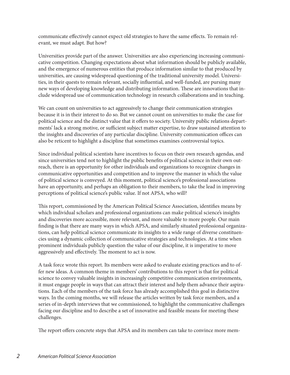communicate effectively cannot expect old strategies to have the same effects. To remain relevant, we must adapt. But how?

Universities provide part of the answer. Universities are also experiencing increasing communicative competition. Changing expectations about what information should be publicly available, and the emergence of numerous entities that produce information similar to that produced by universities, are causing widespread questioning of the traditional university model. Universities, in their quests to remain relevant, socially influential, and well-funded, are pursing many new ways of developing knowledge and distributing information. These are innovations that include widespread use of communication technology in research collaborations and in teaching.

We can count on universities to act aggressively to change their communication strategies because it is in their interest to do so. But we cannot count on universities to make the case for political science and the distinct value that it offers to society. University public relations departments' lack a strong motive, or sufficient subject matter expertise, to draw sustained attention to the insights and discoveries of any particular discipline. University communication offices can also be reticent to highlight a discipline that sometimes examines controversial topics.

Since individual political scientists have incentives to focus on their own research agendas, and since universities tend not to highlight the public benefits of political science in their own outreach, there is an opportunity for other individuals and organizations to recognize changes in communicative opportunities and competition and to improve the manner in which the value of political science is conveyed. At this moment, political science's professional associations have an opportunity, and perhaps an obligation to their members, to take the lead in improving perceptions of political science's public value. If not APSA, who will?

This report, commissioned by the American Political Science Association, identifies means by which individual scholars and professional organizations can make political science's insights and discoveries more accessible, more relevant, and more valuable to more people. Our main finding is that there are many ways in which APSA, and similarly situated professional organizations, can help political science communicate its insights to a wide range of diverse constituencies using a dynamic collection of communicative strategies and technologies. At a time when prominent individuals publicly question the value of our discipline, it is imperative to move aggressively and effectively. The moment to act is now.

A task force wrote this report. Its members were asked to evaluate existing practices and to offer new ideas. A common theme in members' contributions to this report is that for political science to convey valuable insights in increasingly competitive communication environments, it must engage people in ways that can attract their interest and help them advance their aspirations. Each of the members of the task force has already accomplished this goal in distinctive ways. In the coming months, we will release the articles written by task force members, and a series of in-depth interviews that we commissioned, to highlight the communicative challenges facing our discipline and to describe a set of innovative and feasible means for meeting these challenges.

The report offers concrete steps that APSA and its members can take to convince more mem-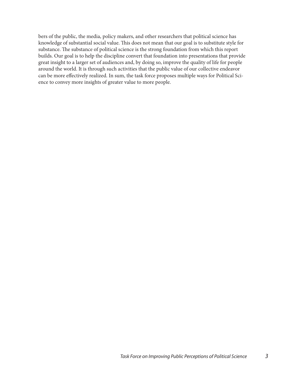bers of the public, the media, policy makers, and other researchers that political science has knowledge of substantial social value. This does not mean that our goal is to substitute style for substance. The substance of political science is the strong foundation from which this report builds. Our goal is to help the discipline convert that foundation into presentations that provide great insight to a larger set of audiences and, by doing so, improve the quality of life for people around the world. It is through such activities that the public value of our collective endeavor can be more effectively realized. In sum, the task force proposes multiple ways for Political Science to convey more insights of greater value to more people.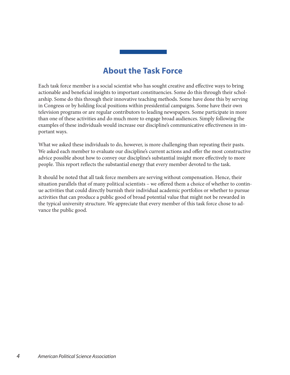# **About the Task Force**

Each task force member is a social scientist who has sought creative and effective ways to bring actionable and beneficial insights to important constituencies. Some do this through their scholarship. Some do this through their innovative teaching methods. Some have done this by serving in Congress or by holding focal positions within presidential campaigns. Some have their own television programs or are regular contributors to leading newspapers. Some participate in more than one of these activities and do much more to engage broad audiences. Simply following the examples of these individuals would increase our discipline's communicative effectiveness in important ways.

What we asked these individuals to do, however, is more challenging than repeating their pasts. We asked each member to evaluate our discipline's current actions and offer the most constructive advice possible about how to convey our discipline's substantial insight more effectively to more people. This report reflects the substantial energy that every member devoted to the task.

It should be noted that all task force members are serving without compensation. Hence, their situation parallels that of many political scientists – we offered them a choice of whether to continue activities that could directly burnish their individual academic portfolios or whether to pursue activities that can produce a public good of broad potential value that might not be rewarded in the typical university structure. We appreciate that every member of this task force chose to advance the public good.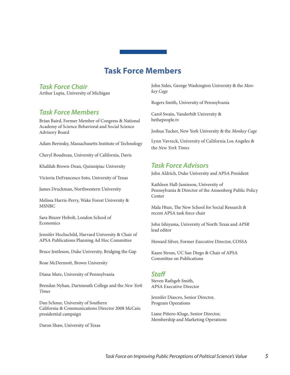# **Task Force Members**

#### *Task Force Chair*

Arthur Lupia, University of Michigan

# *Task Force Members*

Brian Baird, Former Member of Congress & National Academy of Science Behavioral and Social Science Advisory Board

Adam Berinsky, Massachusetts Institute of Technology

Cheryl Boudreau, University of California, Davis

Khalilah Brown-Dean, Quinnipiac University

Victoria DeFrancesco Soto, University of Texas

James Druckman, Northwestern University

Melissa Harris-Perry, Wake Forest University & MSNBC

Sara Binzer Hobolt, London School of **Economics** 

Jennifer Hochschild, Harvard University & Chair of APSA Publications Planning Ad Hoc Committee

Bruce Jentleson, Duke University, Bridging the Gap

Rose McDermott, Brown University

Diana Mutz, University of Pennsylvania

Brendan Nyhan, Dartmouth College and the *New York Times*

Dan Schnur, University of Southern California & Communications Director 2008 McCain presidential campaign

Daron Shaw, University of Texas

John Sides, George Washington University & the *Monkey Cage*

Rogers Smith, University of Pennsylvania

Carol Swain, Vanderbilt University & bethepeople.tv

Joshua Tucker, New York University & the *Monkey Cage*

Lynn Vavreck, University of California Los Angeles & the *New York Times*

# *Task Force Advisors*

John Aldrich, Duke University and APSA President

Kathleen Hall-Jamieson, University of Pennsylvania & Director of the Annenberg Public Policy **Center** 

Mala Htun, The New School for Social Research & recent APSA task force chair

John Ishiyama, University of North Texas and *APSR* lead editor

Howard Silver, Former Executive Director, COSSA

Kaare Strom, UC San Diego & Chair of APSA Committee on Publications

#### *Staff*

Steven Rathgeb Smith, APSA Executive Director

Jennifer Diascro, Senior Director, Program Operations

Liane Piñero-Kluge, Senior Director, Membership and Marketing Operations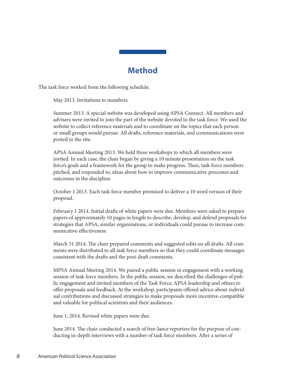# **Method**

The task force worked from the following schedule.

May 2013. Invitations to members.

Summer 2013. A special website was developed using APSA Connect. All members and advisers were invited to join the part of the website devoted to the task force. We used the website to collect reference materials and to coordinate on the topics that each person or small groups would pursue. All drafts, reference materials, and communications were posted to the site.

APSA Annual Meeting 2013. We held three workshops to which all members were invited. In each case, the chair began by giving a 10 minute presentation on the task force's goals and a framework for the group to make progress. Then, task force members pitched, and responded to, ideas about how to improve communicative processes and outcomes in the discipline.

October 1 2013. Each task force member promised to deliver a 10 word version of their proposal.

February 1 2014. Initial drafts of white papers were due. Members were asked to prepare papers of approximately 10 pages in length to describe, develop, and defend proposals for strategies that APSA, similar organizations, or individuals could pursue to increase communicative effectiveness.

March 31 2014. The chair prepared comments and suggested edits on all drafts. All comments were distributed to all task force members so that they could coordinate messages consistent with the drafts and the post-draft comments.

MPSA Annual Meeting 2014. We paired a public session in engagement with a working session of task force members. In the public session, we described the challenges of public engagement and invited members of the Task Force, APSA leadership and others to offer proposals and feedback. At the workshop, participants offered advice about individual contributions and discussed strategies to make proposals more incentive-compatible and valuable for political scientists and their audiences.

June 1, 2014. Revised white papers were due.

June 2014. The chair conducted a search of free-lance reporters for the purpose of conducting in-depth interviews with a number of task force members. After a series of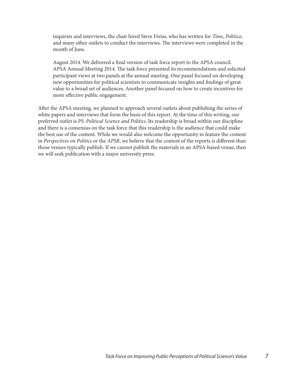inquiries and interviews, the chair hired Steve Freiss, who has written for *Time*, *Politico*, and many other outlets to conduct the interviews. The interviews were completed in the month of June.

August 2014. We delivered a final version of task force report to the APSA council. APSA Annual Meeting 2014. The task force presented its recommendations and solicited participant views at two panels at the annual meeting. One panel focused on developing new opportunities for political scientists to communicate insights and findings of great value to a broad set of audiences. Another panel focused on how to create incentives for more effective public engagement.

After the APSA meeting, we planned to approach several outlets about publishing the series of white papers and interviews that form the basis of this report. At the time of this writing, our preferred outlet is *PS: Political Science and Politics*. Its readership is broad within our discipline and there is a consensus on the task force that this readership is the audience that could make the best use of the content. While we would also welcome the opportunity to feature the content in *Perspectives on Politics* or the *APSR*, we believe that the content of the reports is different than those venues typically publish. If we cannot publish the materials in an APSA-based venue, then we will seek publication with a major university press.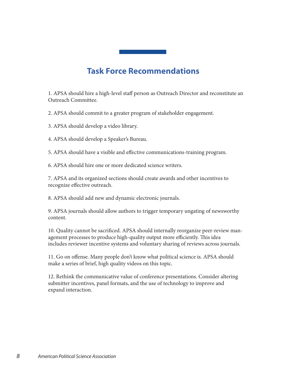# **Task Force Recommendations**

1. APSA should hire a high-level staff person as Outreach Director and reconstitute an Outreach Committee.

2. APSA should commit to a greater program of stakeholder engagement.

3. APSA should develop a video library.

4. APSA should develop a Speaker's Bureau.

5. APSA should have a visible and effective communications-training program.

6. APSA should hire one or more dedicated science writers.

7. APSA and its organized sections should create awards and other incentives to recognize effective outreach.

8. APSA should add new and dynamic electronic journals.

9. APSA journals should allow authors to trigger temporary ungating of newsworthy content.

10. Quality cannot be sacrificed. APSA should internally reorganize peer-review management processes to produce high-quality output more efficiently. This idea includes reviewer incentive systems and voluntary sharing of reviews across journals.

11. Go on offense. Many people don't know what political science is. APSA should make a series of brief, high quality videos on this topic.

12. Rethink the communicative value of conference presentations. Consider altering submitter incentives, panel formats, and the use of technology to improve and expand interaction.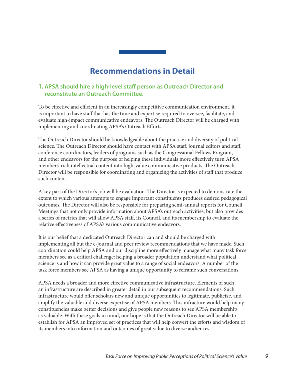# **Recommendations in Detail**

#### **1. APSA should hire a high-level staff person as Outreach Director and reconstitute an Outreach Committee.**

To be effective and efficient in an increasingly competitive communication environment, it is important to have staff that has the time and expertise required to oversee, facilitate, and evaluate high-impact communicative endeavors. The Outreach Director will be charged with implementing and coordinating APSA's Outreach Efforts.

The Outreach Director should be knowledgeable about the practice and diversity of political science. The Outreach Director should have contact with APSA staff, journal editors and staff, conference coordinators, leaders of programs such as the Congressional Fellows Program, and other endeavors for the purpose of helping these individuals more effectively turn APSA members' rich intellectual content into high-value communicative products. The Outreach Director will be responsible for coordinating and organizing the activities of staff that produce such content.

A key part of the Director's job will be evaluation. The Director is expected to demonstrate the extent to which various attempts to engage important constituents produces desired pedagogical outcomes. The Director will also be responsible for preparing semi-annual reports for Council Meetings that not only provide information about APSA's outreach activities, but also provides a series of metrics that will allow APSA staff, its Council, and its membership to evaluate the relative effectiveness of APSA's various communicative endeavors.

It is our belief that a dedicated Outreach Director can and should be charged with implementing all but the e-journal and peer review recommendations that we have made. Such coordination could help APSA and our discipline more effectively manage what many task force members see as a critical challenge: helping a broader population understand what political science is and how it can provide great value to a range of social endeavors. A number of the task force members see APSA as having a unique opportunity to reframe such conversations.

APSA needs a broader and more effective communicative infrastructure. Elements of such an infrastructure are described in greater detail in our subsequent recommendations. Such infrastructure would offer scholars new and unique opportunities to legitimate, publicize, and amplify the valuable and diverse expertise of APSA members. This infracture would help many constituencies make better decisions and give people new reasons to see APSA membership as valuable. With these goals in mind, our hope is that the Outreach Director will be able to establish for APSA an improved set of practices that will help convert the efforts and wisdom of its members into information and outcomes of great value to diverse audiences.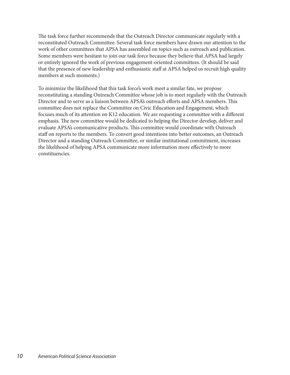The task force further recommends that the Outreach Director communicate regularly with a reconstituted Outreach Committee. Several task force members have drawn our attention to the work of other committees that APSA has assembled on topics such as outreach and publication. Some members were hesitant to join our task force because they believe that APSA had largely or entirely ignored the work of previous engagement-oriented committees. (It should be said that the presence of new leadership and enthusiastic staff at APSA helped us recruit high quality members at such moments.)

To minimize the likelihood that this task force's work meet a similar fate, we propose reconstituting a standing Outreach Committee whose job is to meet regularly with the Outreach Director and to serve as a liaison between APSA's outreach efforts and APSA members. This committee does not replace the Committee on Civic Education and Engagement, which focuses much of its attention on K12 education. We are requesting a committee with a different emphasis. The new committee would be dedicated to helping the Director develop, deliver and evaluate APSA's communicative products. This committee would coordinate with Outreach staff on reports to the members. To convert good intentions into better outcomes, an Outreach Director and a standing Outreach Committee, or similar institutional commitment, increases the likelihood of helping APSA communicate more information more effectively to more constituencies.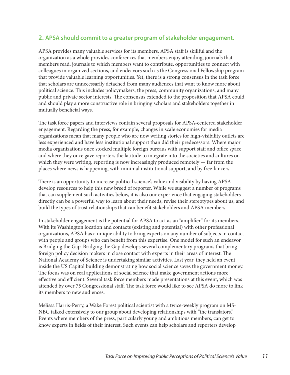#### **2. APSA should commit to a greater program of stakeholder engagement.**

APSA provides many valuable services for its members. APSA staff is skillful and the organization as a whole provides conferences that members enjoy attending, journals that members read, journals to which members want to contribute, opportunities to connect with colleagues in organized sections, and endeavors such as the Congressional Fellowship program that provide valuable learning opportunities. Yet, there is a strong consensus in the task force that scholars are unnecessarily detached from many audiences that want to know more about political science. This includes policymakers, the press, community organizations, and many public and private sector interests. The consensus extended to the proposition that APSA could and should play a more constructive role in bringing scholars and stakeholders together in mutually beneficial ways.

The task force papers and interviews contain several proposals for APSA-centered stakeholder engagement. Regarding the press, for example, changes in scale economies for media organizations mean that many people who are now writing stories for high-visibility outlets are less experienced and have less institutional support than did their predecessors. Where major media organizations once stocked multiple foreign bureaus with support staff and office space, and where they once gave reporters the latitude to integrate into the societies and cultures on which they were writing, reporting is now increasingly produced remotely — far from the places where news is happening, with minimal institutional support, and by free-lancers.

There is an opportunity to increase political science's value and visibility by having APSA develop resources to help this new breed of reporter. While we suggest a number of programs that can supplement such activities below, it is also our experience that engaging stakeholders directly can be a powerful way to learn about their needs, revise their stereotypes about us, and build the types of trust relationships that can benefit stakeholders and APSA members.

In stakeholder engagement is the potential for APSA to act as an "amplifier" for its members. With its Washington location and contacts (existing and potential) with other professional organizations, APSA has a unique ability to bring experts on any number of subjects in contact with people and groups who can benefit from this expertise. One model for such an endeavor is Bridging the Gap. Bridging the Gap develops several complementary programs that bring foreign policy decision makers in close contact with experts in their areas of interest. The National Academy of Science is undertaking similar activities. Last year, they held an event inside the US Capitol building demonstrating how social science saves the government money. The focus was on real applications of social science that make government actions more effective and efficient. Several task force members made presentations at this event, which was attended by over 75 Congressional staff. The task force would like to see APSA do more to link its members to new audiences.

Melissa Harris-Perry, a Wake Forest political scientist with a twice-weekly program on MS-NBC talked extensively to our group about developing relationships with "the translators." Events where members of the press, particularly young and ambitious members, can get to know experts in fields of their interest. Such events can help scholars and reporters develop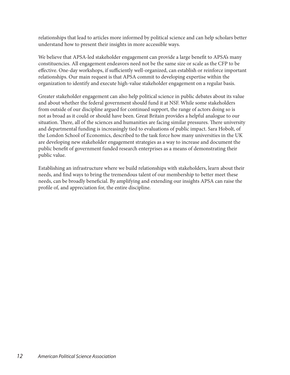relationships that lead to articles more informed by political science and can help scholars better understand how to present their insights in more accessible ways.

We believe that APSA-led stakeholder engagement can provide a large benefit to APSA's many constituencies. All engagement endeavors need not be the same size or scale as the CFP to be effective. One-day workshops, if sufficiently well-organized, can establish or reinforce important relationships. Our main request is that APSA commit to developing expertise within the organization to identify and execute high-value stakeholder engagement on a regular basis.

Greater stakeholder engagement can also help political science in public debates about its value and about whether the federal government should fund it at NSF. While some stakeholders from outside of our discipline argued for continued support, the range of actors doing so is not as broad as it could or should have been. Great Britain provides a helpful analogue to our situation. There, all of the sciences and humanities are facing similar pressures. There university and departmental funding is increasingly tied to evaluations of public impact. Sara Hobolt, of the London School of Economics, described to the task force how many universities in the UK are developing new stakeholder engagement strategies as a way to increase and document the public benefit of government funded research enterprises as a means of demonstrating their public value.

Establishing an infrastructure where we build relationships with stakeholders, learn about their needs, and find ways to bring the tremendous talent of our membership to better meet these needs, can be broadly beneficial. By amplifying and extending our insights APSA can raise the profile of, and appreciation for, the entire discipline.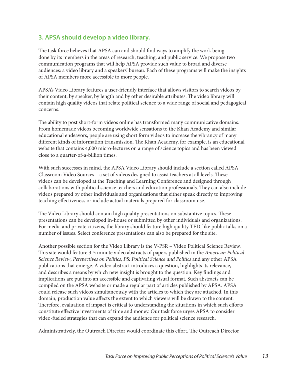# **3. APSA should develop a video library.**

The task force believes that APSA can and should find ways to amplify the work being done by its members in the areas of research, teaching, and public service. We propose two communication programs that will help APSA provide such value to broad and diverse audiences: a video library and a speakers' bureau. Each of these programs will make the insights of APSA members more accessible to more people.

APSA's Video Library features a user-friendly interface that allows visitors to search videos by their content, by speaker, by length and by other desirable attributes. The video library will contain high quality videos that relate political science to a wide range of social and pedagogical concerns.

The ability to post short-form videos online has transformed many communicative domains. From homemade videos becoming worldwide sensations to the Khan Academy and similar educational endeavors, people are using short form videos to increase the vibrancy of many different kinds of information transmission. The Khan Academy, for example, is an educational website that contains 4,000 micro-lectures on a range of science topics and has been viewed close to a quarter-of-a-billion times.

With such successes in mind, the APSA Video Library should include a section called APSA Classroom Video Sources – a set of videos designed to assist teachers at all levels. These videos can be developed at the Teaching and Learning Conference and designed through collaborations with political science teachers and education professionals. They can also include videos prepared by other individuals and organizations that either speak directly to improving teaching effectiveness or include actual materials prepared for classroom use.

The Video Library should contain high quality presentations on substantive topics. These presentations can be developed in-house or submitted by other individuals and organizations. For media and private citizens, the library should feature high quality TED-like public talks on a number of issues. Select conference presentations can also be prepared for the site.

Another possible section for the Video Library is the V-PSR – Video Political Science Review. This site would feature 3-5 minute video abstracts of papers published in the *American Political Science Review*, *Perspectives on Politics*, *PS: Political Science and Politics* and any other APSA publications that emerge. A video abstract introduces a question, highlights its relevance, and describes a means by which new insight is brought to the question. Key findings and implications are put into an accessible and captivating visual format. Such abstracts can be compiled on the APSA website or made a regular part of articles published by APSA. APSA could release such videos simultaneously with the articles to which they are attached. In this domain, production value affects the extent to which viewers will be drawn to the content. Therefore, evaluation of impact is critical to understanding the situations in which such efforts constitute effective investments of time and money. Our task force urges APSA to consider video-fueled strategies that can expand the audience for political science research.

Administratively, the Outreach Director would coordinate this effort. The Outreach Director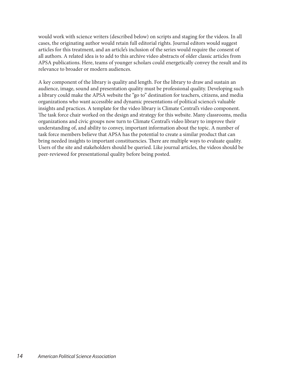would work with science writers (described below) on scripts and staging for the videos. In all cases, the originating author would retain full editorial rights. Journal editors would suggest articles for this treatment, and an article's inclusion of the series would require the consent of all authors. A related idea is to add to this archive video abstracts of older classic articles from APSA publications. Here, teams of younger scholars could energetically convey the result and its relevance to broader or modern audiences.

A key component of the library is quality and length. For the library to draw and sustain an audience, image, sound and presentation quality must be professional quality. Developing such a library could make the APSA website the "go to" destination for teachers, citizens, and media organizations who want accessible and dynamic presentations of political science's valuable insights and practices. A template for the video library is Climate Central's video component. The task force chair worked on the design and strategy for this website. Many classrooms, media organizations and civic groups now turn to Climate Central's video library to improve their understanding of, and ability to convey, important information about the topic. A number of task force members believe that APSA has the potential to create a similar product that can bring needed insights to important constituencies. There are multiple ways to evaluate quality. Users of the site and stakeholders should be queried. Like journal articles, the videos should be peer-reviewed for presentational quality before being posted.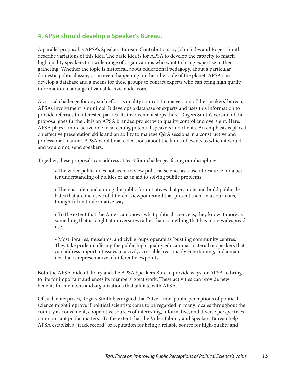# **4. APSA should develop a Speaker's Bureau.**

A parallel proposal is APSA's Speakers Bureau. Contributions by John Sides and Rogers Smith describe variations of this idea. The basic idea is for APSA to develop the capacity to match high quality speakers to a wide range of organizations who want to bring expertise to their gathering. Whether the topic is historical, about educational pedagogy, about a particular domestic political issue, or an event happening on the other side of the planet, APSA can develop a database and a means for these groups to contact experts who can bring high quality information to a range of valuable civic endeavors.

A critical challenge for any such effort is quality control. In one version of the speakers' bureau, APSA's involvement is minimal. It develops a database of experts and uses this information to provide referrals to interested parties. Its involvement stops there. Rogers Smith's version of the proposal goes further. It is an APSA branded project with quality control and oversight. Here, APSA plays a more active role in screening potential speakers and clients. An emphasis is placed on effective presentation skills and an ability to manage Q&A sessions in a constructive and professional manner. APSA would make decisions about the kinds of events to which it would, and would not, send speakers.

Together, these proposals can address at least four challenges facing our discipline:

• The wider public does not seem to view political science as a useful resource for a better understanding of politics or as an aid to solving public problems

• There is a demand among the public for initiatives that promote and build public debates that are inclusive of different viewpoints and that present them in a courteous, thoughtful and informative way

• To the extent that the American knows what political science is, they know it more as something that is taught at universities rather than something that has more widespread use.

• Most libraries, museums, and civil groups operate as 'bustling community centres." They take pride in offering the public high-quality educational material or speakers that can address important issues in a civil, accessible, reasonably entertaining, and a manner that is representative of different viewpoints.

Both the APSA Video Library and the APSA Speakers Bureau provide ways for APSA to bring to life for important audiences its members' great work. These activities can provide new benefits for members and organizations that affiliate with APSA.

Of such enterprises, Rogers Smith has argued that "Over time, public perceptions of political science might improve if political scientists came to be regarded in many locales throughout the country as convenient, cooperative sources of interesting, informative, and diverse perspectives on important public matters." To the extent that the Video Library and Speakers Bureau help APSA establish a "track record" or reputation for being a reliable source for high-quality and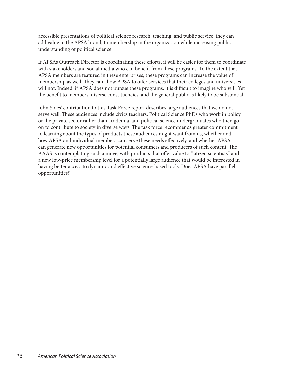accessible presentations of political science research, teaching, and public service, they can add value to the APSA brand, to membership in the organization while increasing public understanding of political science.

If APSA's Outreach Director is coordinating these efforts, it will be easier for them to coordinate with stakeholders and social media who can benefit from these programs. To the extent that APSA members are featured in these enterprises, these programs can increase the value of membership as well. They can allow APSA to offer services that their colleges and universities will not. Indeed, if APSA does not pursue these programs, it is difficult to imagine who will. Yet the benefit to members, diverse constituencies, and the general public is likely to be substantial.

John Sides' contribution to this Task Force report describes large audiences that we do not serve well. These audiences include civics teachers, Political Science PhDs who work in policy or the private sector rather than academia, and political science undergraduates who then go on to contribute to society in diverse ways. The task force recommends greater commitment to learning about the types of products these audiences might want from us, whether and how APSA and individual members can serve these needs effectively, and whether APSA can generate new opportunities for potential consumers and producers of such content. The AAAS is contemplating such a move, with products that offer value to "citizen scientists" and a new low-price membership level for a potentially large audience that would be interested in having better access to dynamic and effective science-based tools. Does APSA have parallel opportunities?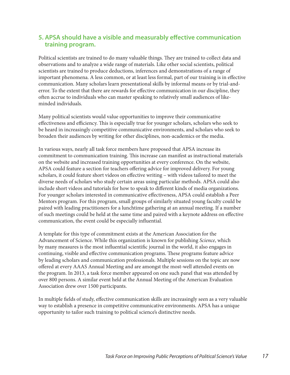# **5. APSA should have a visible and measurably effective communication training program.**

Political scientists are trained to do many valuable things. They are trained to collect data and observations and to analyze a wide range of materials. Like other social scientists, political scientists are trained to produce deductions, inferences and demonstrations of a range of important phenomena. A less common, or at least less formal, part of our training is in effective communication. Many scholars learn presentational skills by informal means or by trial-anderror. To the extent that there are rewards for effective communication in our discipline, they often accrue to individuals who can master speaking to relatively small audiences of likeminded individuals.

Many political scientists would value opportunities to improve their communicative effectiveness and efficiency. This is especially true for younger scholars, scholars who seek to be heard in increasingly competitive communicative environments, and scholars who seek to broaden their audiences by writing for other disciplines, non-academics or the media.

In various ways, nearly all task force members have proposed that APSA increase its commitment to communication training. This increase can manifest as instructional materials on the website and increased training opportunities at every conference. On the website, APSA could feature a section for teachers offering advice for improved delivery. For young scholars, it could feature short videos on effective writing – with videos tailored to meet the diverse needs of scholars who study certain areas using particular methods. APSA could also include short videos and tutorials for how to speak to different kinds of media organizations. For younger scholars interested in communicative effectiveness, APSA could establish a Peer Mentors program. For this program, small groups of similarly situated young faculty could be paired with leading practitioners for a lunchtime gathering at an annual meeting. If a number of such meetings could be held at the same time and paired with a keynote address on effective communication, the event could be especially influential.

A template for this type of commitment exists at the American Association for the Advancement of Science. While this organization is known for publishing *Science*, which by many measures is the most influential scientific journal in the world, it also engages in continuing, visible and effective communication programs. These programs feature advice by leading scholars and communication professionals. Multiple sessions on the topic are now offered at every AAAS Annual Meeting and are amongst the most-well attended events on the program. In 2013, a task force member appeared on one such panel that was attended by over 800 persons. A similar event held at the Annual Meeting of the American Evaluation Association drew over 1500 participants.

In multiple fields of study, effective communication skills are increasingly seen as a very valuable way to establish a presence in competitive communicative environments. APSA has a unique opportunity to tailor such training to political science's distinctive needs.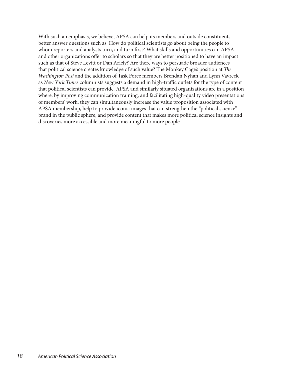With such an emphasis, we believe, APSA can help its members and outside constituents better answer questions such as: How do political scientists go about being the people to whom reporters and analysts turn, and turn first? What skills and opportunities can APSA and other organizations offer to scholars so that they are better positioned to have an impact such as that of Steve Levitt or Dan Ariely? Are there ways to persuade broader audiences that political science creates knowledge of such value? The Monkey Cage's position at *The Washington Post* and the addition of Task Force members Brendan Nyhan and Lynn Vavreck as *New York Times* columnists suggests a demand in high-traffic outlets for the type of content that political scientists can provide. APSA and similarly situated organizations are in a position where, by improving communication training, and facilitating high-quality video presentations of members' work, they can simultaneously increase the value proposition associated with APSA membership, help to provide iconic images that can strengthen the "political science" brand in the public sphere, and provide content that makes more political science insights and discoveries more accessible and more meaningful to more people.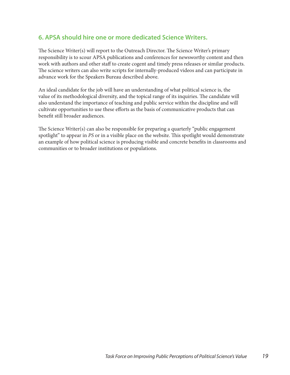# **6. APSA should hire one or more dedicated Science Writers.**

The Science Writer(s) will report to the Outreach Director. The Science Writer's primary responsibility is to scour APSA publications and conferences for newsworthy content and then work with authors and other staff to create cogent and timely press releases or similar products. The science writers can also write scripts for internally-produced videos and can participate in advance work for the Speakers Bureau described above.

An ideal candidate for the job will have an understanding of what political science is, the value of its methodological diversity, and the topical range of its inquiries. The candidate will also understand the importance of teaching and public service within the discipline and will cultivate opportunities to use these efforts as the basis of communicative products that can benefit still broader audiences.

The Science Writer(s) can also be responsible for preparing a quarterly "public engagement spotlight" to appear in *PS* or in a visible place on the website. This spotlight would demonstrate an example of how political science is producing visible and concrete benefits in classrooms and communities or to broader institutions or populations.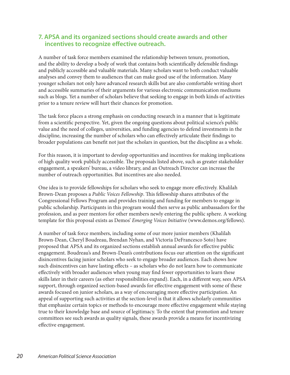### **7. APSA and its organized sections should create awards and other incentives to recognize effective outreach.**

A number of task force members examined the relationship between tenure, promotion, and the ability to develop a body of work that contains both scientifically defensible findings and publicly accessible and valuable materials. Many scholars want to both conduct valuable analyses and convey them to audiences that can make good use of the information. Many younger scholars not only have advanced research skills but are also comfortable writing short and accessible summaries of their arguments for various electronic communication mediums such as blogs. Yet a number of scholars believe that seeking to engage in both kinds of activities prior to a tenure review will hurt their chances for promotion.

The task force places a strong emphasis on conducting research in a manner that is legitimate from a scientific perspective. Yet, given the ongoing questions about political science's public value and the need of colleges, universities, and funding agencies to defend investments in the discipline, increasing the number of scholars who can effectively articulate their findings to broader populations can benefit not just the scholars in question, but the discipline as a whole.

For this reason, it is important to develop opportunities and incentives for making implications of high quality work publicly accessible. The proposals listed above, such as greater stakeholder engagement, a speakers' bureau, a video library, and an Outreach Director can increase the number of outreach opportunities. But incentives are also needed.

One idea is to provide fellowships for scholars who seek to engage more effectively. Khalilah Brown-Dean proposes a *Public Voices Fellowship*. This fellowship shares attributes of the Congressional Fellows Program and provides training and funding for members to engage in public scholarship. Participants in this program would then serve as public ambassadors for the profession, and as peer mentors for other members newly entering the public sphere. A working template for this proposal exists as Demos' *Emerging Voices Initiative* (www.demos.org/fellows).

A number of task force members, including some of our more junior members (Khalilah Brown-Dean, Cheryl Boudreau, Brendan Nyhan, and Victoria DeFrancesco Soto) have proposed that APSA and its organized sections establish annual awards for effective public engagement. Boudreau's and Brown-Dean's contributions focus our attention on the significant disincentives facing junior scholars who seek to engage broader audiences. Each shows how such disincentives can have lasting effects – as scholars who do not learn how to communicate effectively with broader audiences when young may find fewer opportunities to learn these skills later in their careers (as other responsibilities expand). Each, in a different way, sees APSA support, through organized section-based awards for effective engagement with some of these awards focused on junior scholars, as a way of encouraging more effective participation. An appeal of supporting such activities at the section-level is that it allows scholarly communities that emphasize certain topics or methods to encourage more effective engagement while staying true to their knowledge base and source of legitimacy. To the extent that promotion and tenure committees see such awards as quality signals, these awards provide a means for incentivizing effective engagement.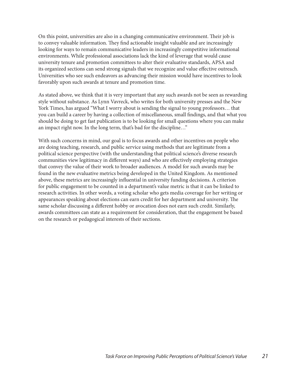On this point, universities are also in a changing communicative environment. Their job is to convey valuable information. They find actionable insight valuable and are increasingly looking for ways to remain communicative leaders in increasingly competitive informational environments. While professional associations lack the kind of leverage that would cause university tenure and promotion committees to alter their evaluative standards, APSA and its organized sections can send strong signals that we recognize and value effective outreach. Universities who see such endeavors as advancing their mission would have incentives to look favorably upon such awards at tenure and promotion time.

As stated above, we think that it is very important that any such awards not be seen as rewarding style without substance. As Lynn Vavreck, who writes for both university presses and the New York Times, has argued "What I worry about is sending the signal to young professors… that you can build a career by having a collection of miscellaneous, small findings, and that what you should be doing to get fast publication is to be looking for small questions where you can make an impact right now. In the long term, that's bad for the discipline…"

With such concerns in mind, our goal is to focus awards and other incentives on people who are doing teaching, research, and public service using methods that are legitimate from a political science perspective (with the understanding that political science's diverse research communities view legitimacy in different ways) and who are effectively employing strategies that convey the value of their work to broader audiences. A model for such awards may be found in the new evaluative metrics being developed in the United Kingdom. As mentioned above, these metrics are increasingly influential in university funding decisions. A criterion for public engagement to be counted in a department's value metric is that it can be linked to research activities. In other words, a voting scholar who gets media coverage for her writing or appearances speaking about elections can earn credit for her department and university. The same scholar discussing a different hobby or avocation does not earn such credit. Similarly, awards committees can state as a requirement for consideration, that the engagement be based on the research or pedagogical interests of their sections.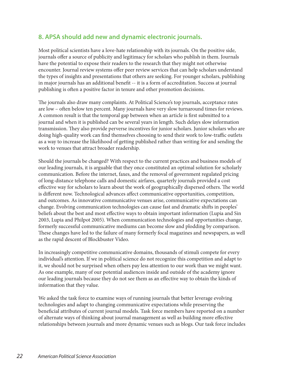# **8. APSA should add new and dynamic electronic journals.**

Most political scientists have a love-hate relationship with its journals. On the positive side, journals offer a source of publicity and legitimacy for scholars who publish in them. Journals have the potential to expose their readers to the research that they might not otherwise encounter. Journal review systems offer peer review services that can help scholars understand the types of insights and presentations that others are seeking. For younger scholars, publishing in major journals has an additional benefit -- it is a form of accreditation. Success at journal publishing is often a positive factor in tenure and other promotion decisions.

The journals also draw many complaints. At Political Science's top journals, acceptance rates are low – often below ten percent. Many journals have very slow turnaround times for reviews. A common result is that the temporal gap between when an article is first submitted to a journal and when it is published can be several years in length. Such delays slow information transmission. They also provide perverse incentives for junior scholars. Junior scholars who are doing high-quality work can find themselves choosing to send their work to low-traffic outlets as a way to increase the likelihood of getting published rather than writing for and sending the work to venues that attract broader readership.

Should the journals be changed? With respect to the current practices and business models of our leading journals, it is arguable that they once constituted an optimal solution for scholarly communication. Before the internet, faxes, and the removal of government regulated pricing of long-distance telephone calls and domestic airfares, quarterly journals provided a cost effective way for scholars to learn about the work of geographically dispersed others. The world is different now. Technological advances affect communicative opportunities, competition, and outcomes. As innovative communicative venues arise, communicative expectations can change. Evolving communication technologies can cause fast and dramatic shifts in peoples' beliefs about the best and most effective ways to obtain important information (Lupia and Sin 2003, Lupia and Philpot 2005). When communication technologies and opportunities change, formerly successful communicative mediums can become slow and plodding by comparison. These changes have led to the failure of many formerly focal magazines and newspapers, as well as the rapid descent of Blockbuster Video.

In increasingly competitive communicative domains, thousands of stimuli compete for every individual's attention. If we in political science do not recognize this competition and adapt to it, we should not be surprised when others pay less attention to our work than we might want. As one example, many of our potential audiences inside and outside of the academy ignore our leading journals because they do not see them as an effective way to obtain the kinds of information that they value.

We asked the task force to examine ways of running journals that better leverage evolving technologies and adapt to changing communicative expectations while preserving the beneficial attributes of current journal models. Task force members have reported on a number of alternate ways of thinking about journal management as well as building more effective relationships between journals and more dynamic venues such as blogs. Our task force includes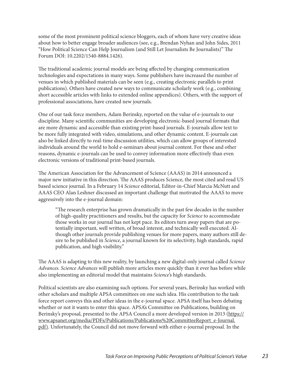some of the most prominent political science bloggers, each of whom have very creative ideas about how to better engage broader audiences (see, e.g., Brendan Nyhan and John Sides, 2011 "How Political Science Can Help Journalism (and Still Let Journalists Be Journalists)" The Forum DOI: 10.2202/1540-8884.1426).

The traditional academic journal models are being affected by changing communication technologies and expectations in many ways. Some publishers have increased the number of venues in which published materials can be seen (e.g., creating electronic parallels to print publications). Others have created new ways to communicate scholarly work (e.g., combining short accessible articles with links to extended online appendices). Others, with the support of professional associations, have created new journals.

One of our task force members, Adam Berinsky, reported on the value of e-journals to our discipline. Many scientific communities are developing electronic-based journal formats that are more dynamic and accessible than existing print-based journals. E-journals allow text to be more fully integrated with video, simulations, and other dynamic content. E-journals can also be linked directly to real-time discussion utilities, which can allow groups of interested individuals around the world to hold e-seminars about journal content. For these and other reasons, dynamic e-journals can be used to convey information more effectively than even electronic versions of traditional print-based journals.

The American Association for the Advancement of Science (AAAS) in 2014 announced a major new initiative in this direction. The AAAS produces Science, the most cited and read US based science journal. In a February 14 *Science* editorial, Editor-in-Chief Marcia McNutt and AAAS CEO Alan Leshner discussed an important challenge that motivated the AAAS to move aggressively into the e-journal domain:

"The research enterprise has grown dramatically in the past few decades in the number of high-quality practitioners and results, but the capacity for *Science* to accommodate those works in our journal has not kept pace. Its editors turn away papers that are potentially important, well written, of broad interest, and technically well executed. Although other journals provide publishing venues for more papers, many authors still desire to be published in *Science*, a journal known for its selectivity, high standards, rapid publication, and high visibility."

The AAAS is adapting to this new reality, by launching a new digital-only journal called *Science Advances*. *Science Advances* will publish more articles more quickly than it ever has before while also implementing an editorial model that maintains *Science*'s high standards.

Political scientists are also examining such options. For several years, Berinsky has worked with other scholars and multiple APSA committees on one such idea. His contribution to the task force report conveys this and other ideas in the e-journal space. APSA itself has been debating whether or not it wants to enter this space. APSA's Committee on Publications, building on Berinsky's proposal, presented to the APSA Council a more developed version in 2013 (https:// www.apsanet.org/media/PDFs/Publications/Publications%20CommitteeReport\_e-Journal. pdf). Unfortunately, the Council did not move forward with either e-journal proposal. In the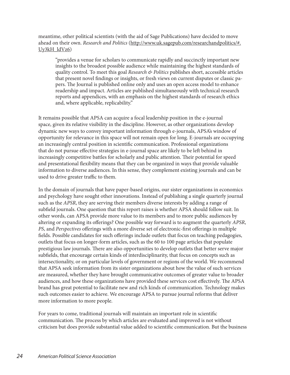#### meantime, other political scientists (with the aid of Sage Publications) have decided to move ahead on their own. *Research and Politics* (http://www.uk.sagepub.com/researchandpolitics/#. Uy3kH\_ldVz6)

"provides a venue for scholars to communicate rapidly and succinctly important new insights to the broadest possible audience while maintaining the highest standards of quality control. To meet this goal *Research & Politics* publishes short, accessible articles that present novel findings or insights, or fresh views on current disputes or classic papers. The Journal is published online only and uses an open access model to enhance readership and impact. Articles are published simultaneously with technical research reports and appendices, with an emphasis on the highest standards of research ethics and, where applicable, replicability."

It remains possible that APSA can acquire a focal leadership position in the e-journal space, given its relative visibility in the discipline. However, as other organizations develop dynamic new ways to convey important information through e-journals, APSA's window of opportunity for relevance in this space will not remain open for long. E-journals are occupying an increasingly central position in scientific communication. Professional organizations that do not pursue effective strategies in e-journal space are likely to be left behind in increasingly competitive battles for scholarly and public attention. Their potential for speed and presentational flexibility means that they can be organized in ways that provide valuable information to diverse audiences. In this sense, they complement existing journals and can be used to drive greater traffic to them.

In the domain of journals that have paper-based origins, our sister organizations in economics and psychology have sought other innovations. Instead of publishing a single quarterly journal such as the *APSR*, they are serving their members diverse interests by adding a range of subfield journals. One question that this report raises is whether APSA should follow suit. In other words, can APSA provide more value to its members and to more public audiences by altering or expanding its offerings? One possible way forward is to augment the quarterly *APSR*, *PS*, and *Perspectives* offerings with a more diverse set of electronic-first offerings in multiple fields. Possible candidates for such offerings include outlets that focus on teaching pedagogies, outlets that focus on longer-form articles, such as the 60 to 100 page articles that populate prestigious law journals. There are also opportunities to develop outlets that better serve major subfields, that encourage certain kinds of interdisciplinarity, that focus on concepts such as intersectionality, or on particular levels of government or regions of the world. We recommend that APSA seek information from its sister organizations about how the value of such services are measured, whether they have brought communicative outcomes of greater value to broader audiences, and how these organizations have provided these services cost effectively. The APSA brand has great potential to facilitate new and rich kinds of communication. Technology makes such outcomes easier to achieve. We encourage APSA to pursue journal reforms that deliver more information to more people.

For years to come, traditional journals will maintain an important role in scientific communication. The process by which articles are evaluated and improved is not without criticism but does provide substantial value added to scientific communication. But the business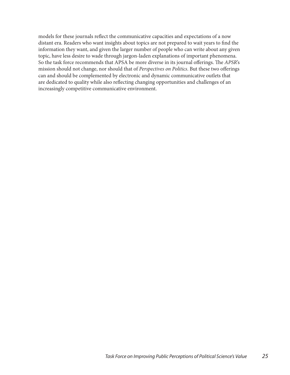models for these journals reflect the communicative capacities and expectations of a now distant era. Readers who want insights about topics are not prepared to wait years to find the information they want, and given the larger number of people who can write about any given topic, have less desire to wade through jargon-laden explanations of important phenomena. So the task force recommends that APSA be more diverse in its journal offerings. The *APSR*'s mission should not change, nor should that of *Perspectives on Politics*. But these two offerings can and should be complemented by electronic and dynamic communicative outlets that are dedicated to quality while also reflecting changing opportunities and challenges of an increasingly competitive communicative environment.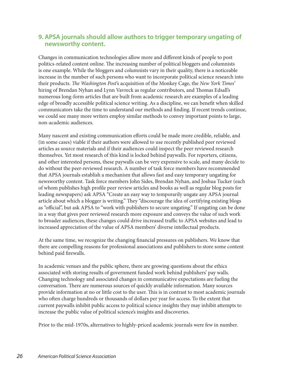### **9. APSA journals should allow authors to trigger temporary ungating of newsworthy content.**

Changes in communication technologies allow more and different kinds of people to post politics-related content online. The increasing number of political bloggers and columnists is one example. While the bloggers and columnists vary in their quality, there is a noticeable increase in the number of such persons who want to incorporate political science research into their products. *The Washington Post*'s acquisition of the Monkey Cage, the *New York Times*' hiring of Brendan Nyhan and Lynn Vavreck as regular contributors, and Thomas Edsall's numerous long-form articles that are built from academic research are examples of a leading edge of broadly accessible political science writing. As a discipline, we can benefit when skilled communicators take the time to understand our methods and finding. If recent trends continue, we could see many more writers employ similar methods to convey important points to large, non-academic audiences.

Many nascent and existing communication efforts could be made more credible, reliable, and (in some cases) viable if their authors were allowed to use recently published peer reviewed articles as source materials and if their audiences could inspect the peer reviewed research themselves. Yet most research of this kind is locked behind paywalls. For reporters, citizens, and other interested persons, these paywalls can be very expensive to scale, and many decide to do without the peer-reviewed research. A number of task force members have recommended that APSA journals establish a mechanism that allows fast and easy temporary ungating for newsworthy content. Task force members John Sides, Brendan Nyhan, and Joshua Tucker (each of whom publishes high profile peer review articles and books as well as regular blog posts for leading newspapers) ask APSA "Create an easy way to temporarily ungate any APSA journal article about which a blogger is writing." They "discourage the idea of certifying existing blogs as "official", but ask APSA to "work with publishers to secure ungating." If ungating can be done in a way that gives peer reviewed research more exposure and conveys the value of such work to broader audiences, these changes could drive increased traffic to APSA websites and lead to increased appreciation of the value of APSA members' diverse intellectual products.

At the same time, we recognize the changing financial pressures on publishers. We know that there are compelling reasons for professional associations and publishers to store some content behind paid firewalls.

In academic venues and the public sphere, there are growing questions about the ethics associated with storing results of government funded work behind publishers' pay walls. Changing technology and associated changes in communicative expectations are fueling the conversation. There are numerous sources of quickly available information. Many sources provide information at no or little cost to the user. This is in contrast to most academic journals who often charge hundreds or thousands of dollars per year for access. To the extent that current paywalls inhibit public access to political science insights they may inhibit attempts to increase the public value of political science's insights and discoveries.

Prior to the mid-1970s, alternatives to highly-priced academic journals were few in number.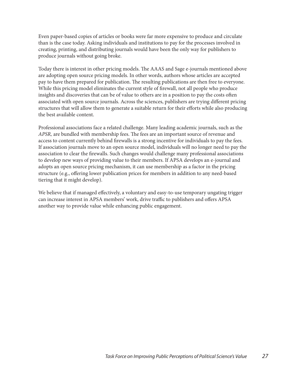Even paper-based copies of articles or books were far more expensive to produce and circulate than is the case today. Asking individuals and institutions to pay for the processes involved in creating, printing, and distributing journals would have been the only way for publishers to produce journals without going broke.

Today there is interest in other pricing models. The AAAS and Sage e-journals mentioned above are adopting open source pricing models. In other words, authors whose articles are accepted pay to have them prepared for publication. The resulting publications are then free to everyone. While this pricing model eliminates the current style of firewall, not all people who produce insights and discoveries that can be of value to others are in a position to pay the costs often associated with open source journals. Across the sciences, publishers are trying different pricing structures that will allow them to generate a suitable return for their efforts while also producing the best available content.

Professional associations face a related challenge. Many leading academic journals, such as the *APSR,* are bundled with membership fees. The fees are an important source of revenue and access to content currently behind firewalls is a strong incentive for individuals to pay the fees. If association journals move to an open source model, individuals will no longer need to pay the association to clear the firewalls. Such changes would challenge many professional associations to develop new ways of providing value to their members. If APSA develops an e-journal and adopts an open source pricing mechanism, it can use membership as a factor in the pricing structure (e.g., offering lower publication prices for members in addition to any need-based tiering that it might develop).

We believe that if managed effectively, a voluntary and easy-to-use temporary ungating trigger can increase interest in APSA members' work, drive traffic to publishers and offers APSA another way to provide value while enhancing public engagement.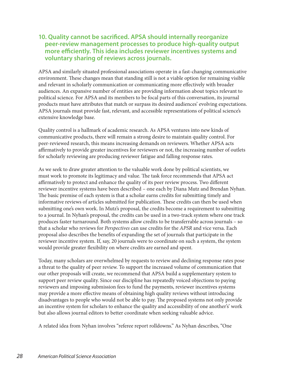### **10. Quality cannot be sacrificed. APSA should internally reorganize peer-review management processes to produce high-quality output more efficiently. This idea includes reviewer incentives systems and voluntary sharing of reviews across journals.**

APSA and similarly situated professional associations operate in a fast-changing communicative environment. These changes mean that standing still is not a viable option for remaining visible and relevant in scholarly communication or communicating more effectively with broader audiences. An expansive number of entities are providing information about topics relevant to political science. For APSA and its members to be focal parts of this conversation, its journal products must have attributes that match or surpass its desired audiences' evolving expectations. APSA journals must provide fast, relevant, and accessible representations of political science's extensive knowledge base.

Quality control is a hallmark of academic research. As APSA ventures into new kinds of communicative products, there will remain a strong desire to maintain quality control. For peer-reviewed research, this means increasing demands on reviewers. Whether APSA acts affirmatively to provide greater incentives for reviewers or not, the increasing number of outlets for scholarly reviewing are producing reviewer fatigue and falling response rates.

As we seek to draw greater attention to the valuable work done by political scientists, we must work to promote its legitimacy and value. The task force recommends that APSA act affirmatively to protect and enhance the quality of its peer review process. Two different reviewer incentive systems have been described – one each by Diana Mutz and Brendan Nyhan. The basic premise of each system is that a scholar earns credits for submitting timely and informative reviews of articles submitted for publication. These credits can then be used when submitting one's own work. In Mutz's proposal, the credits become a requirement to submitting to a journal. In Nyhan's proposal, the credits can be used in a two-track system where one track produces faster turnaround. Both systems allow credits to be transferrable across journals – so that a scholar who reviews for *Perspectives* can use credits for the *APSR* and vice versa. Each proposal also describes the benefits of expanding the set of journals that participate in the reviewer incentive system. If, say, 20 journals were to coordinate on such a system, the system would provide greater flexibility on where credits are earned and spent.

Today, many scholars are overwhelmed by requests to review and declining response rates pose a threat to the quality of peer review. To support the increased volume of communication that our other proposals will create, we recommend that APSA build a supplementary system to support peer review quality. Since our discipline has repeatedly voiced objections to paying reviewers and imposing submission fees to fund the payments, reviewer incentives systems may provide a more effective means of obtaining high quality reviews without introducing disadvantages to people who would not be able to pay. The proposed systems not only provide an incentive system for scholars to enhance the quality and accessibility of one another's' work but also allows journal editors to better coordinate when seeking valuable advice.

A related idea from Nyhan involves "referee report rolldowns." As Nyhan describes, "One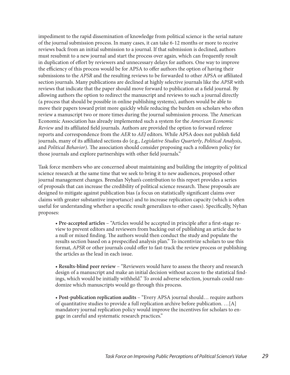impediment to the rapid dissemination of knowledge from political science is the serial nature of the journal submission process. In many cases, it can take 6-12 months or more to receive reviews back from an initial submission to a journal. If that submission is declined, authors must resubmit to a new journal and start the process over again, which can frequently result in duplication of effort by reviewers and unnecessary delays for authors. One way to improve the efficiency of this process would be for APSA to offer authors the option of having their submissions to the *APSR* and the resulting reviews to be forwarded to other APSA or affiliated section journals. Many publications are declined at highly selective journals like the *APSR* with reviews that indicate that the paper should move forward to publication at a field journal. By allowing authors the option to redirect the manuscript and reviews to such a journal directly (a process that should be possible in online publishing systems), authors would be able to move their papers toward print more quickly while reducing the burden on scholars who often review a manuscript two or more times during the journal submission process. The American Economic Association has already implemented such a system for the *American Economic Review* and its affiliated field journals. Authors are provided the option to forward referee reports and correspondence from the *AER* to *AEJ* editors. While APSA does not publish field journals, many of its affiliated sections do (e.g., *Legislative Studies Quarterly*, *Political Analysis*, and *Political Behavior*). The association should consider proposing such a rolldown policy for those journals and explore partnerships with other field journals."

Task force members who are concerned about maintaining and building the integrity of political science research at the same time that we seek to bring it to new audiences, proposed other journal management changes. Brendan Nyhan's contribution to this report provides a series of proposals that can increase the credibility of political science research. These proposals are designed to mitigate against publication bias (a focus on statistically significant claims over claims with greater substantive importance) and to increase replication capacity (which is often useful for understanding whether a specific result generalizes to other cases). Specifically, Nyhan proposes:

• **Pre-accepted articles** – "Articles would be accepted in principle after a first-stage review to prevent editors and reviewers from backing out of publishing an article due to a null or mixed finding. The authors would then conduct the study and populate the results section based on a prespecified analysis plan." To incentivize scholars to use this format, *APSR* or other journals could offer to fast-track the review process or publishing the articles as the lead in each issue.

• **Results-blind peer review** – "Reviewers would have to assess the theory and research design of a manuscript and make an initial decision without access to the statistical findings, which would be initially withheld." To avoid adverse selection, journals could randomize which manuscripts would go through this process.

• **Post-publication replication audits** – "Every APSA journal should… require authors of quantitative studies to provide a full replication archive before publication. …[A] mandatory journal replication policy would improve the incentives for scholars to engage in careful and systematic research practices."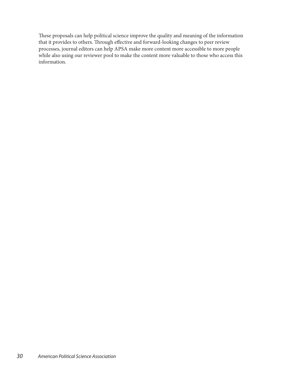These proposals can help political science improve the quality and meaning of the information that it provides to others. Through effective and forward-looking changes to peer review processes, journal editors can help APSA make more content more accessible to more people while also using our reviewer pool to make the content more valuable to those who access this information.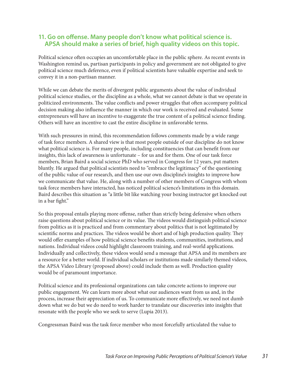### **11. Go on offense. Many people don't know what political science is. APSA should make a series of brief, high quality videos on this topic.**

Political science often occupies an uncomfortable place in the public sphere. As recent events in Washington remind us, partisan participants in policy and government are not obligated to give political science much deference, even if political scientists have valuable expertise and seek to convey it in a non-partisan manner.

While we can debate the merits of divergent public arguments about the value of individual political science studies, or the discipline as a whole, what we cannot debate is that we operate in politicized environments. The value conflicts and power struggles that often accompany political decision making also influence the manner in which our work is received and evaluated. Some entrepreneurs will have an incentive to exaggerate the true content of a political science finding. Others will have an incentive to cast the entire discipline in unfavorable terms.

With such pressures in mind, this recommendation follows comments made by a wide range of task force members. A shared view is that most people outside of our discipline do not know what political science is. For many people, including constituencies that can benefit from our insights, this lack of awareness is unfortunate – for us and for them. One of our task force members, Brian Baird a social science PhD who served in Congress for 12 years, put matters bluntly. He argued that political scientists need to "embrace the legitimacy" of the questioning of the public value of our research, and then use our own discipline's insights to improve how we communicate that value. He, along with a number of other members of Congress with whom task force members have interacted, has noticed political science's limitations in this domain. Baird describes this situation as "a little bit like watching your boxing instructor get knocked out in a bar fight."

So this proposal entails playing more offense, rather than strictly being defensive when others raise questions about political science or its value. The videos would distinguish political science from politics as it is practiced and from commentary about politics that is not legitimated by scientific norms and practices. The videos would be short and of high production quality. They would offer examples of how political science benefits students, communities, institutions, and nations. Individual videos could highlight classroom training, and real-world applications. Individually and collectively, these videos would send a message that APSA and its members are a resource for a better world. If individual scholars or institutions made similarly themed videos, the APSA Video Library (proposed above) could include them as well. Production quality would be of paramount importance.

Political science and its professional organizations can take concrete actions to improve our public engagement. We can learn more about what our audiences want from us and, in the process, increase their appreciation of us. To communicate more effectively, we need not dumb down what we do but we do need to work harder to translate our discoveries into insights that resonate with the people who we seek to serve (Lupia 2013).

Congressman Baird was the task force member who most forcefully articulated the value to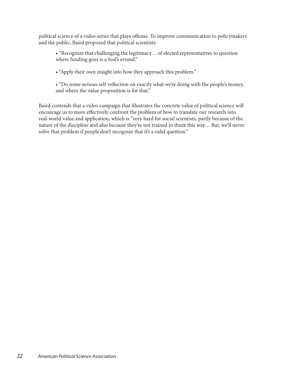political science of a video series that plays offense. To improve communication to policymakers and the public, Baird proposed that political scientists:

- "Recognize that challenging the legitimacy… of elected representatives to question where funding goes is a fool's errand."
- "Apply their own insight into how they approach this problem."
- "Do some serious self-reflection on exactly what we're doing with the people's money, and where the value proposition is for that."

Baird contends that a video campaign that illustrates the concrete value of political science will encourage us to more effectively confront the problem of how to translate our research into real-world value and application, which is "very hard for social scientists, partly because of the nature of the discipline and also because they're not trained to think this way… But, we'll never solve that problem if people don't recognize that it's a valid question."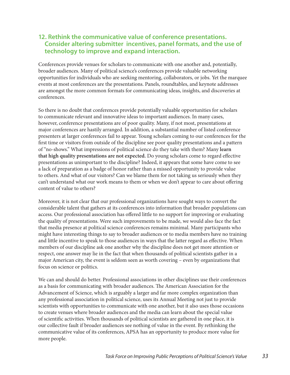### **12. Rethink the communicative value of conference presentations. Consider altering submitter incentives, panel formats, and the use of technology to improve and expand interaction.**

Conferences provide venues for scholars to communicate with one another and, potentially, broader audiences. Many of political science's conferences provide valuable networking opportunities for individuals who are seeking mentoring, collaborators, or jobs. Yet the marquee events at most conferences are the presentations. Panels, roundtables, and keynote addresses are amongst the more common formats for communicating ideas, insights, and discoveries at conferences.

So there is no doubt that conferences provide potentially valuable opportunities for scholars to communicate relevant and innovative ideas to important audiences. In many cases, however, conference presentations are of poor quality. Many, if not most, presentations at major conferences are hastily arranged. In addition, a substantial number of listed conference presenters at larger conferences fail to appear. Young scholars coming to our conferences for the first time or visitors from outside of the discipline see poor quality presentations and a pattern of "no-shows." What impressions of political science do they take with them? Many **learn that high quality presentations are not expected.** Do young scholars come to regard effective presentations as unimportant to the discipline? Indeed, it appears that some have come to see a lack of preparation as a badge of honor rather than a missed opportunity to provide value to others. And what of our visitors? Can we blame them for not taking us seriously when they can't understand what our work means to them or when we don't appear to care about offering content of value to others?

Moreover, it is not clear that our professional organizations have sought ways to convert the considerable talent that gathers at its conferences into information that broader populations can access. Our professional association has offered little to no support for improving or evaluating the quality of presentations. Were such improvements to be made, we would also face the fact that media presence at political science conferences remains minimal. Many participants who might have interesting things to say to broader audiences or to media members have no training and little incentive to speak to those audiences in ways that the latter regard as effective. When members of our discipline ask one another why the discipline does not get more attention or respect, one answer may lie in the fact that when thousands of political scientists gather in a major American city, the event is seldom seen as worth covering – even by organizations that focus on science or politics.

We can and should do better. Professional associations in other disciplines use their conferences as a basis for communicating with broader audiences. The American Association for the Advancement of Science, which is arguably a larger and far more complex organization than any professional association in political science, uses its Annual Meeting not just to provide scientists with opportunities to communicate with one another, but it also uses those occasions to create venues where broader audiences and the media can learn about the special value of scientific activities. When thousands of political scientists are gathered in one place, it is our collective fault if broader audiences see nothing of value in the event. By rethinking the communicative value of its conferences, APSA has an opportunity to produce more value for more people.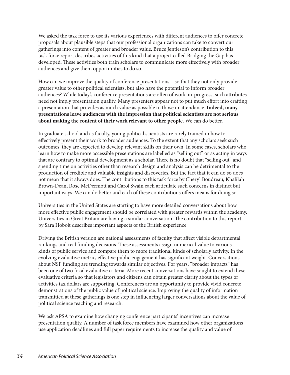We asked the task force to use its various experiences with different audiences to offer concrete proposals about plausible steps that our professional organizations can take to convert our gatherings into content of greater and broader value. Bruce Jentleson's contribution to this task force report describes activities of this kind that a project called Bridging the Gap has developed. These activities both train scholars to communicate more effectively with broader audiences and give them opportunities to do so.

How can we improve the quality of conference presentations – so that they not only provide greater value to other political scientists, but also have the potential to inform broader audiences? While today's conference presentations are often of work-in-progress, such attributes need not imply presentation quality. Many presenters appear not to put much effort into crafting a presentation that provides as much value as possible to those in attendance. **Indeed, many presentations leave audiences with the impression that political scientists are not serious about making the content of their work relevant to other people.** We can do better.

In graduate school and as faculty, young political scientists are rarely trained in how to effectively present their work to broader audiences. To the extent that any scholars seek such outcomes, they are expected to develop relevant skills on their own. In some cases, scholars who learn how to make more accessible presentations are labelled as "selling out" or as acting in ways that are contrary to optimal development as a scholar. There is no doubt that "selling out" and spending time on activities other than research design and analysis can be detrimental to the production of credible and valuable insights and discoveries. But the fact that it can do so does not mean that it always does. The contributions to this task force by Cheryl Boudreau, Khalilah Brown-Dean, Rose McDermott and Carol Swain each articulate such concerns in distinct but important ways. We can do better and each of these contributions offers means for doing so.

Universities in the United States are starting to have more detailed conversations about how more effective public engagement should be correlated with greater rewards within the academy. Universities in Great Britain are having a similar conversation. The contribution to this report by Sara Hobolt describes important aspects of the British experience.

Driving the British version are national assessments of faculty that affect visible departmental rankings and real funding decisions. These assessments assign numerical value to various kinds of public service and compare them to more traditional kinds of scholarly activity. In the evolving evaluative metric, effective public engagement has significant weight. Conversations about NSF funding are trending towards similar objectives. For years, "broader impacts" has been one of two focal evaluative criteria. More recent conversations have sought to extend these evaluative criteria so that legislators and citizens can obtain greater clarity about the types of activities tax dollars are supporting. Conferences are an opportunity to provide vivid concrete demonstrations of the public value of political science. Improving the quality of information transmitted at these gatherings is one step in influencing larger conversations about the value of political science teaching and research.

We ask APSA to examine how changing conference participants' incentives can increase presentation quality. A number of task force members have examined how other organizations use application deadlines and full paper requirements to increase the quality and value of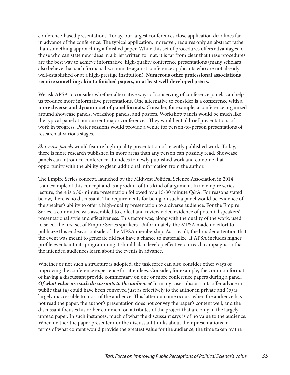conference-based presentations. Today, our largest conferences close application deadlines far in advance of the conference. The typical application, moreover, requires only an abstract rather than something approaching a finished paper. While this set of procedures offers advantages to those who can state new ideas in a brief written format, it is far from clear that these procedures are the best way to achieve informative, high-quality conference presentations (many scholars also believe that such formats discriminate against conference applicants who are not already well-established or at a high-prestige institution). **Numerous other professional associations require something akin to finished papers, or at least well-developed précis.**

We ask APSA to consider whether alternative ways of conceiving of conference panels can help us produce more informative presentations. One alternative to consider **is a conference with a more diverse and dynamic set of panel formats.** Consider, for example, a conference organized around showcase panels, workshop panels, and posters. Workshop panels would be much like the typical panel at our current major conferences. They would entail brief presentations of work in progress. Poster sessions would provide a venue for person-to-person presentations of research at various stages.

*Showcase panels* would feature high-quality presentation of recently published work. Today, there is more research published in more areas than any person can possibly read. Showcase panels can introduce conference attendees to newly published work and combine that opportunity with the ability to glean additional information from the author.

The Empire Series concept, launched by the Midwest Political Science Association in 2014, is an example of this concept and is a product of this kind of argument. In an empire series lecture, there is a 30-minute presentation followed by a 15-30 minute Q&A. For reasons stated below, there is no discussant. The requirements for being on such a panel would be evidence of the speaker's ability to offer a high-quality presentation to a diverse audience. For the Empire Series, a committee was assembled to collect and review video evidence of potential speakers' presentational style and effectiveness. This factor was, along with the quality of the work, used to select the first set of Empire Series speakers. Unfortunately, the MPSA made no effort to publicize this endeavor outside of the MPSA membership. As a result, the broader attention that the event was meant to generate did not have a chance to materialize. If APSA includes higher profile events into its programming it should also develop effective outreach campaigns so that the intended audiences learn about the events in advance.

Whether or not such a structure is adopted, the task force can also consider other ways of improving the conference experience for attendees. Consider, for example, the common format of having a discussant provide commentary on one or more conference papers during a panel. *Of what value are such discussants to the audience?* In many cases, discussants offer advice in public that (a) could have been conveyed just as effectively to the author in private and (b) is largely inaccessible to most of the audience. This latter outcome occurs when the audience has not read the paper, the author's presentation does not convey the paper's content well, and the discussant focuses his or her comment on attributes of the project that are only in the largelyunread paper. In such instances, much of what the discussant says is of no value to the audience. When neither the paper presenter nor the discussant thinks about their presentations in terms of what content would provide the greatest value for the audience, the time taken by the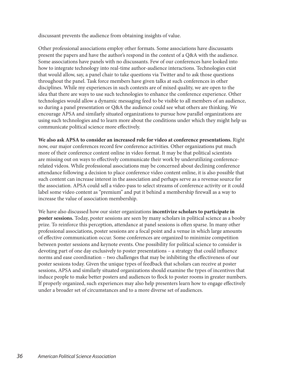discussant prevents the audience from obtaining insights of value.

Other professional associations employ other formats. Some associations have discussants present the papers and have the author's respond in the context of a Q&A with the audience. Some associations have panels with no discussants. Few of our conferences have looked into how to integrate technology into real-time author-audience interactions. Technologies exist that would allow, say, a panel chair to take questions via Twitter and to ask those questions throughout the panel. Task force members have given talks at such conferences in other disciplines. While my experiences in such contexts are of mixed quality, we are open to the idea that there are ways to use such technologies to enhance the conference experience. Other technologies would allow a dynamic messaging feed to be visible to all members of an audience, so during a panel presentation or Q&A the audience could see what others are thinking. We encourage APSA and similarly situated organizations to pursue how parallel organizations are using such technologies and to learn more about the conditions under which they might help us communicate political science more effectively.

**We also ask APSA to consider an increased role for video at conference presentations.** Right now, our major conferences record few conference activities. Other organizations put much more of their conference content online in video format. It may be that political scientists are missing out on ways to effectively communicate their work by underutilizing conferencerelated videos. While professional associations may be concerned about declining conference attendance following a decision to place conference video content online, it is also possible that such content can increase interest in the association and perhaps serve as a revenue source for the association. APSA could sell a video-pass to select streams of conference activity or it could label some video content as "premium" and put it behind a membership firewall as a way to increase the value of association membership.

We have also discussed how our sister organizations **incentivize scholars to participate in poster sessions.** Today, poster sessions are seen by many scholars in political science as a booby prize. To reinforce this perception, attendance at panel sessions is often sparse. In many other professional associations, poster sessions are a focal point and a venue in which large amounts of effective communication occur. Some conferences are organized to minimize competition between poster sessions and keynote events. One possibility for political science to consider is devoting part of one day exclusively to poster presentations – a strategy that could influence norms and ease coordination – two challenges that may be inhibiting the effectiveness of our poster sessions today. Given the unique types of feedback that scholars can receive at poster sessions, APSA and similarly situated organizations should examine the types of incentives that induce people to make better posters and audiences to flock to poster rooms in greater numbers. If properly organized, such experiences may also help presenters learn how to engage effectively under a broader set of circumstances and to a more diverse set of audiences.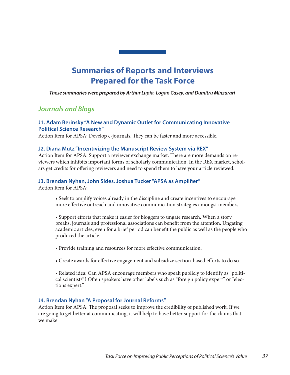# **Summaries of Reports and Interviews Prepared for the Task Force**

*These summaries were prepared by Arthur Lupia, Logan Casey, and Dumitru Minzarari*

# *Journals and Blogs*

#### **J1. Adam Berinsky "A New and Dynamic Outlet for Communicating Innovative Political Science Research"**

Action Item for APSA: Develop e-journals. They can be faster and more accessible.

#### **J2. Diana Mutz "Incentivizing the Manuscript Review System via REX"**

Action Item for APSA: Support a reviewer exchange market. There are more demands on reviewers which inhibits important forms of scholarly communication. In the REX market, scholars get credits for offering reviewers and need to spend them to have your article reviewed.

#### **J3. Brendan Nyhan, John Sides, Joshua Tucker "APSA as Amplifier"**

Action Item for APSA:

- Seek to amplify voices already in the discipline and create incentives to encourage more effective outreach and innovative communication strategies amongst members.
- Support efforts that make it easier for bloggers to ungate research. When a story breaks, journals and professional associations can benefit from the attention. Ungating academic articles, even for a brief period can benefit the public as well as the people who produced the article.
- Provide training and resources for more effective communication.
- Create awards for effective engagement and subsidize section-based efforts to do so.
- Related idea: Can APSA encourage members who speak publicly to identify as "political scientists"? Often speakers have other labels such as "foreign policy expert" or "elections expert."

#### **J4. Brendan Nyhan "A Proposal for Journal Reforms"**

Action Item for APSA: The proposal seeks to improve the credibility of published work. If we are going to get better at communicating, it will help to have better support for the claims that we make.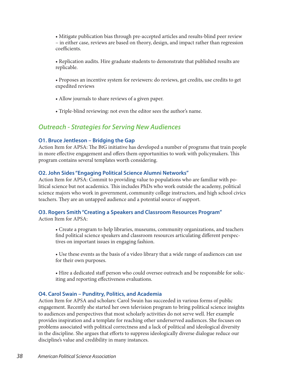• Mitigate publication bias through pre-accepted articles and results-blind peer review – in either case, reviews are based on theory, design, and impact rather than regression coefficients.

- Replication audits. Hire graduate students to demonstrate that published results are replicable.
- Proposes an incentive system for reviewers: do reviews, get credits, use credits to get expedited reviews
- Allow journals to share reviews of a given paper.
- Triple-blind reviewing: not even the editor sees the author's name.

### *Outreach - Strategies for Serving New Audiences*

#### **O1. Bruce Jentleson – Bridging the Gap**

Action Item for APSA: The BtG initiative has developed a number of programs that train people in more effective engagement and offers them opportunities to work with policymakers. This program contains several templates worth considering.

#### **O2. John Sides "Engaging Political Science Alumni Networks"**

Action Item for APSA: Commit to providing value to populations who are familiar with political science but not academics. This includes PhDs who work outside the academy, political science majors who work in government, community college instructors, and high school civics teachers. They are an untapped audience and a potential source of support.

#### **O3. Rogers Smith "Creating a Speakers and Classroom Resources Program"**

Action Item for APSA:

- Create a program to help libraries, museums, community organizations, and teachers find political science speakers and classroom resources articulating different perspectives on important issues in engaging fashion.
- Use these events as the basis of a video library that a wide range of audiences can use for their own purposes.
- Hire a dedicated staff person who could oversee outreach and be responsible for soliciting and reporting effectiveness evaluations.

#### **O4. Carol Swain – Punditry, Politics, and Academia**

Action Item for APSA and scholars: Carol Swain has succeeded in various forms of public engagement. Recently she started her own television program to bring political science insights to audiences and perspectives that most scholarly activities do not serve well. Her example provides inspiration and a template for reaching other underserved audiences. She focuses on problems associated with political correctness and a lack of political and ideological diversity in the discipline. She argues that efforts to suppress ideologically diverse dialogue reduce our discipline's value and credibility in many instances.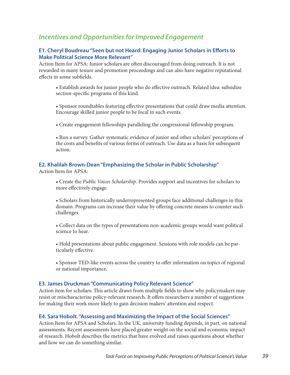# *Incentives and Opportunities for Improved Engagement*

#### **E1. Cheryl Boudreau "Seen but not Heard: Engaging Junior Scholars in Efforts to Make Political Science More Relevant"**

Action Item for APSA: Junior scholars are often discouraged from doing outreach. It is not rewarded in many tenure and promotion proceedings and can also have negative reputational effects in some subfields.

- Establish awards for junior people who do effective outreach. Related idea: subsidize section-specific programs of this kind.
- Sponsor roundtables featuring effective presentations that could draw media attention. Encourage skilled junior people to be focal in such events.
- Create engagement fellowships paralleling the congressional fellowship program.
- Run a survey. Gather systematic evidence of junior and other scholars' perceptions of the costs and benefits of various forms of outreach. Use data as a basis for subsequent action.

#### **E2. Khalilah Brown-Dean "Emphasizing the Scholar in Public Scholarship"**

Action Item for APSA:

- Create the *Public Voices Scholarship*. Provides support and incentives for scholars to more effectively engage.
- Scholars from historically underrepresented groups face additional challenges in this domain. Programs can increase their value by offering concrete means to counter such challenges.
- Collect data on the types of presentations non-academic groups would want political science to hear.
- Hold presentations about public engagement. Sessions with role models can be particularly effective.
- Sponsor TED-like events across the country to offer information on topics of regional or national importance.

#### **E3. James Druckman "Communicating Policy Relevant Science"**

Action item for scholars: This article draws from multiple fields to show why policymakers may resist or mischaracterize policy-relevant research. It offers researchers a number of suggestions for making their work more likely to gain decision makers' attention and respect.

#### **E4. Sara Hobolt. "Assessing and Maximizing the Impact of the Social Sciences"**

Action Item for APSA and Scholars. In the UK, university funding depends, in part, on national assessments. Recent assessments have placed greater weight on the social and economic impact of research. Hobolt describes the metrics that have evolved and raises questions about whether and how we can do something similar.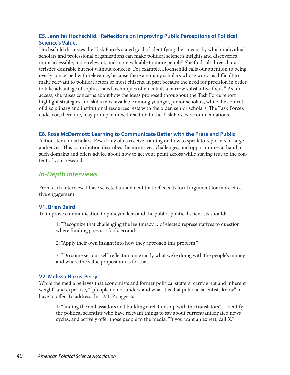#### **E5. Jennifer Hochschild. "Reflections on Improving Public Perceptions of Political Science's Value."**

Hochschild discusses the Task Force's stated goal of identifying the "means by which individual scholars and professional organizations can make political science's insights and discoveries more accessible, more relevant, and more valuable to more people" She finds all three characteristics desirable but not without concern. For example, Hochschild calls our attention to being overly concerned with relevance, because there are many scholars whose work "is difficult to make relevant to political actors or most citizens, in part because the need for precision in order to take advantage of sophisticated techniques often entails a narrow substantive focus." As for access, she raises concerns about how the ideas proposed throughout the Task Force report highlight strategies and skills most available among younger, junior scholars, while the control of disciplinary and institutional resources rests with the older, senior scholars. The Task Force's endeavor, therefore, may prompt a mixed reaction to the Task Force's recommendations.

#### **E6. Rose McDermott: Learning to Communicate Better with the Press and Public**

Action Item for scholars: Few if any of us receive training on how to speak to reporters or large audiences. This contribution describes the incentives, challenges, and opportunities at hand in such domains and offers advice about how to get your point across while staying true to the content of your research.

# *In-Depth Interviews*

From each interview, I have selected a statement that reflects its focal argument for more effective engagement.

#### **V1. Brian Baird**

To improve communication to policymakers and the public, political scientists should:

1: "Recognize that challenging the legitimacy… of elected representatives to question where funding goes is a fool's errand."

2: "Apply their own insight into how they approach this problem."

3: "Do some serious self-reflection on exactly what we're doing with the people's money, and where the value proposition is for that."

#### **V2. Melissa Harris-Perry**

While the media believes that economists and former political staffers "carry great and inherent weight" and expertise, "[p]eople do not understand what it is that political scientists know" or have to offer. To address this, MHP suggests:

1: "finding the ambassadors and building a relationship with the translators" – identify the political scientists who have relevant things to say about current/anticipated news cycles, and actively offer those people to the media: "If you want an expert, call X."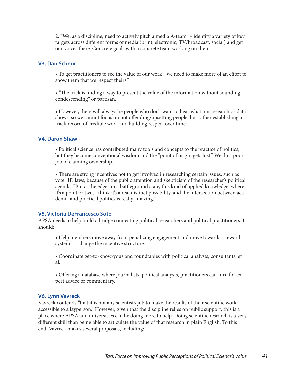2: "We, as a discipline, need to actively pitch a media A-team" – identify a variety of key targets across different forms of media (print, electronic, TV/broadcast, social) and get our voices there. Concrete goals with a concrete team working on them.

#### **V3. Dan Schnur**

• To get practitioners to see the value of our work, "we need to make more of an effort to show them that we respect theirs."

• "The trick is finding a way to present the value of the information without sounding condescending" or partisan.

• However, there will always be people who don't want to hear what our research or data shows, so we cannot focus on not offending/upsetting people, but rather establishing a track record of credible work and building respect over time.

#### **V4. Daron Shaw**

• Political science has contributed many tools and concepts to the practice of politics, but they become conventional wisdom and the "point of origin gets lost." We do a poor job of claiming ownership.

• There are strong incentives not to get involved in researching certain issues, such as voter ID laws, because of the public attention and skepticism of the researcher's political agenda. "But at the edges in a battleground state, this kind of applied knowledge, where it's a point or two, I think it's a real distinct possibility, and the intersection between academia and practical politics is really amazing."

#### **V5. Victoria DeFrancesco Soto**

APSA needs to help build a bridge connecting political researchers and political practitioners. It should:

• Help members move away from penalizing engagement and move towards a reward system --- change the incentive structure.

• Coordinate get-to-know-yous and roundtables with political analysts, consultants, et al.

• Offering a database where journalists, political analysts, practitioners can turn for expert advice or commentary.

#### **V6. Lynn Vavreck**

Vavreck contends "that it is not any scientist's job to make the results of their scientific work accessible to a layperson." However, given that the discipline relies on public support, this is a place where APSA and universities can be doing more to help. Doing scientific research is a very different skill than being able to articulate the value of that research in plain English. To this end, Vavreck makes several proposals, including: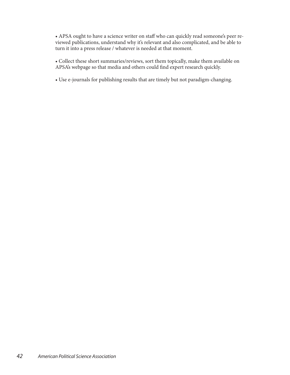• APSA ought to have a science writer on staff who can quickly read someone's peer reviewed publications, understand why it's relevant and also complicated, and be able to turn it into a press release / whatever is needed at that moment.

• Collect these short summaries/reviews, sort them topically, make them available on APSA's webpage so that media and others could find expert research quickly.

• Use e-journals for publishing results that are timely but not paradigm-changing.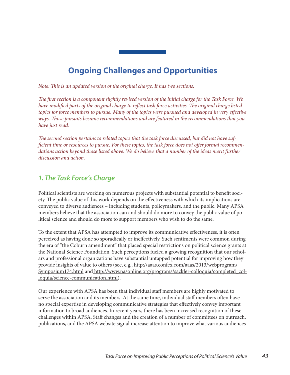# **Ongoing Challenges and Opportunities**

*Note: This is an updated version of the original charge. It has two sections.*

*The first section is a component slightly revised version of the initial charge for the Task Force. We have modified parts of the original charge to reflect task force activities. The original charge listed topics for force members to pursue. Many of the topics were pursued and developed in very effective ways. Those pursuits became recommendations and are featured in the recommendations that you have just read.*

*The second section pertains to related topics that the task force discussed, but did not have sufficient time or resources to pursue. For these topics, the task force does not offer formal recommendations action beyond those listed above. We do believe that a number of the ideas merit further discussion and action.*

# *1. The Task Force's Charge*

Political scientists are working on numerous projects with substantial potential to benefit society. The public value of this work depends on the effectiveness with which its implications are conveyed to diverse audiences – including students, policymakers, and the public. Many APSA members believe that the association can and should do more to convey the public value of political science and should do more to support members who wish to do the same.

To the extent that APSA has attempted to improve its communicative effectiveness, it is often perceived as having done so sporadically or ineffectively. Such sentiments were common during the era of "the Coburn amendment" that placed special restrictions on political science grants at the National Science Foundation. Such perceptions fueled a growing recognition that our scholars and professional organizations have substantial untapped potential for improving how they provide insights of value to others (see, e.g., http://aaas.confex.com/aaas/2013/webprogram/ Symposium174.html and http://www.nasonline.org/programs/sackler-colloquia/completed\_colloquia/science-communication.html).

Our experience with APSA has been that individual staff members are highly motivated to serve the association and its members. At the same time, individual staff members often have no special expertise in developing communicative strategies that effectively convey important information to broad audiences. In recent years, there has been increased recognition of these challenges within APSA. Staff changes and the creation of a number of committees on outreach, publications, and the APSA website signal increase attention to improve what various audiences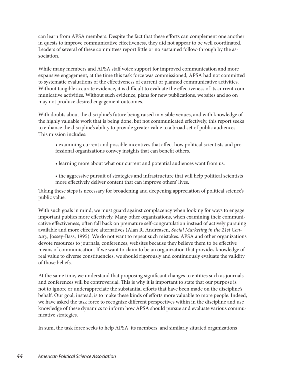can learn from APSA members. Despite the fact that these efforts can complement one another in quests to improve communicative effectiveness, they did not appear to be well coordinated. Leaders of several of these committees report little or no sustained follow-through by the association.

While many members and APSA staff voice support for improved communication and more expansive engagement, at the time this task force was commissioned, APSA had not committed to systematic evaluations of the effectiveness of current or planned communicative activities. Without tangible accurate evidence, it is difficult to evaluate the effectiveness of its current communicative activities. Without such evidence, plans for new publications, websites and so on may not produce desired engagement outcomes.

With doubts about the discipline's future being raised in visible venues, and with knowledge of the highly valuable work that is being done, but not communicated effectively, this report seeks to enhance the discipline's ability to provide greater value to a broad set of public audiences. This mission includes:

- examining current and possible incentives that affect how political scientists and professional organizations convey insights that can benefit others.
- learning more about what our current and potential audiences want from us.
- the aggressive pursuit of strategies and infrastructure that will help political scientists more effectively deliver content that can improve others' lives.

Taking these steps is necessary for broadening and deepening appreciation of political science's public value.

With such goals in mind, we must guard against complacency when looking for ways to engage important publics more effectively. Many other organizations, when examining their communicative effectiveness, often fall back on premature self-congratulation instead of actively pursuing available and more effective alternatives (Alan R. Andreasen, *Social Marketing in the 21st Century*, Jossey-Bass, 1995). We do not want to repeat such mistakes. APSA and other organizations devote resources to journals, conferences, websites because they believe them to be effective means of communication. If we want to claim to be an organization that provides knowledge of real value to diverse constituencies, we should rigorously and continuously evaluate the validity of those beliefs.

At the same time, we understand that proposing significant changes to entities such as journals and conferences will be controversial. This is why it is important to state that our purpose is not to ignore or underappreciate the substantial efforts that have been made on the discipline's behalf. Our goal, instead, is to make these kinds of efforts more valuable to more people. Indeed, we have asked the task force to recognize different perspectives within in the discipline and use knowledge of these dynamics to inform how APSA should pursue and evaluate various communicative strategies.

In sum, the task force seeks to help APSA, its members, and similarly situated organizations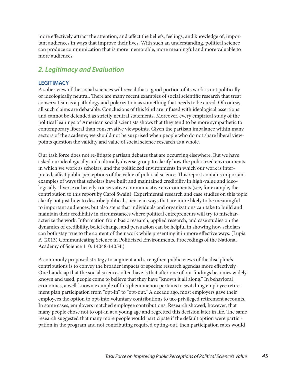more effectively attract the attention, and affect the beliefs, feelings, and knowledge of, important audiences in ways that improve their lives. With such an understanding, political science can produce communication that is more memorable, more meaningful and more valuable to more audiences.

# *2. Legitimacy and Evaluation*

#### **LEGITIMACY**

A sober view of the social sciences will reveal that a good portion of its work is not politically or ideologically neutral. There are many recent examples of social scientific research that treat conservatism as a pathology and polarization as something that needs to be cured. Of course, all such claims are debatable. Conclusions of this kind are infused with ideological assertions and cannot be defended as strictly neutral statements. Moreover, every empirical study of the political leanings of American social scientists shows that they tend to be more sympathetic to contemporary liberal than conservative viewpoints. Given the partisan imbalance within many sectors of the academy, we should not be surprised when people who do not share liberal viewpoints question the validity and value of social science research as a whole.

Our task force does not re-litigate partisan debates that are occurring elsewhere. But we have asked our ideologically and culturally diverse group to clarify how the politicized environments in which we work as scholars, and the politicized environments in which our work is interpreted, affect public perceptions of the value of political science. This report contains important examples of ways that scholars have built and maintained credibility in high-value and ideologically-diverse or heavily conservative communicative environments (see, for example, the contribution to this report by Carol Swain). Experimental research and case studies on this topic clarify not just how to describe political science in ways that are more likely to be meaningful to important audiences, but also steps that individuals and organizations can take to build and maintain their credibility in circumstances where political entrepreneurs will try to mischaracterize the work. Information from basic research, applied research, and case studies on the dynamics of credibility, belief change, and persuasion can be helpful in showing how scholars can both stay true to the content of their work while presenting it in more effective ways. (Lupia A (2013) Communicating Science in Politicized Environments. Proceedings of the National Academy of Science 110: 14048-14054.)

A commonly proposed strategy to augment and strengthen public views of the discipline's contributions is to convey the broader impacts of specific research agendas more effectively. One handicap that the social sciences often have is that after one of our findings becomes widely known and used, people come to believe that they have "known it all along." In behavioral economics, a well-known example of this phenomenon pertains to switching employee retirement plan participation from "opt-in" to "opt-out." A decade ago, most employers gave their employees the option to opt-into voluntary contributions to tax-privileged retirement accounts. In some cases, employers matched employee contributions. Research showed, however, that many people chose not to opt-in at a young age and regretted this decision later in life. The same research suggested that many more people would participate if the default option were participation in the program and not contributing required opting-out, then participation rates would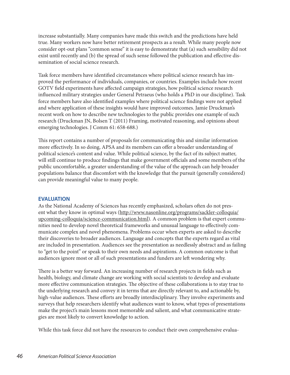increase substantially. Many companies have made this switch and the predictions have held true. Many workers now have better retirement prospects as a result. While many people now consider opt-out plans "common sense" it is easy to demonstrate that (a) such sensibility did not exist until recently and (b) the spread of such sense followed the publication and effective dissemination of social science research.

Task force members have identified circumstances where political science research has improved the performance of individuals, companies, or countries. Examples include how recent GOTV field experiments have affected campaign strategies, how political science research influenced military strategies under General Petraeus (who holds a PhD in our discipline). Task force members have also identified examples where political science findings were not applied and where application of these insights would have improved outcomes. Jamie Druckman's recent work on how to describe new technologies to the public provides one example of such research (Druckman JN, Bolsen T (2011) Framing, motivated reasoning, and opinions about emerging technologies. J Comm 61: 658-688.)

This report contains a number of proposals for communicating this and similar information more effectively. In so doing, APSA and its members can offer a broader understanding of political science's content and value. While political science, by the fact of its subject matter, will still continue to produce findings that make government officials and some members of the public uncomfortable, a greater understanding of the value of the approach can help broader populations balance that discomfort with the knowledge that the pursuit (generally considered) can provide meaningful value to many people.

#### **EVALUATION**

As the National Academy of Sciences has recently emphasized, scholars often do not present what they know in optimal ways (http://www.nasonline.org/programs/sackler-colloquia/ upcoming-colloquia/science-communication.html). A common problem is that expert communities need to develop novel theoretical frameworks and unusual language to effectively communicate complex and novel phenomena. Problems occur when experts are asked to describe their discoveries to broader audiences. Language and concepts that the experts regard as vital are included in presentation. Audiences see the presentation as needlessly abstract and as failing to "get to the point" or speak to their own needs and aspirations. A common outcome is that audiences ignore most or all of such presentations and funders are left wondering why.

There is a better way forward. An increasing number of research projects in fields such as health, biology, and climate change are working with social scientists to develop and evaluate more effective communication strategies. The objective of these collaborations is to stay true to the underlying research and convey it in terms that are directly relevant to, and actionable by, high-value audiences. These efforts are broadly interdisciplinary. They involve experiments and surveys that help researchers identify what audiences want to know, what types of presentations make the project's main lessons most memorable and salient, and what communicative strategies are most likely to convert knowledge to action.

While this task force did not have the resources to conduct their own comprehensive evalua-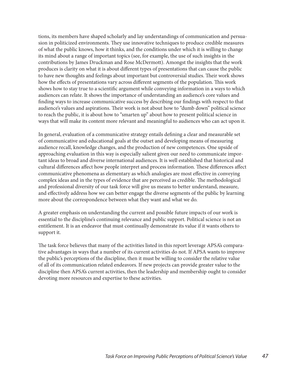tions, its members have shaped scholarly and lay understandings of communication and persuasion in politicized environments. They use innovative techniques to produce credible measures of what the public knows, how it thinks, and the conditions under which it is willing to change its mind about a range of important topics (see, for example, the use of such insights in the contributions by James Druckman and Rose McDermott). Amongst the insights that the work produces is clarity on what it is about different types of presentations that can cause the public to have new thoughts and feelings about important but controversial studies. Their work shows how the effects of presentations vary across different segments of the population. This work shows how to stay true to a scientific argument while conveying information in a ways to which audiences can relate. It shows the importance of understanding an audience's core values and finding ways to increase communicative success by describing our findings with respect to that audience's values and aspirations. Their work is not about how to "dumb down" political science to reach the public, it is about how to "smarten up" about how to present political science in ways that will make its content more relevant and meaningful to audiences who can act upon it.

In general, evaluation of a communicative strategy entails defining a clear and measurable set of communicative and educational goals at the outset and developing means of measuring audience recall, knowledge changes, and the production of new competences. One upside of approaching evaluation in this way is especially salient given our need to communicate important ideas to broad and diverse international audiences. It is well established that historical and cultural differences affect how people interpret and process information. These differences affect communicative phenomena as elementary as which analogies are most effective in conveying complex ideas and in the types of evidence that are perceived as credible. The methodological and professional diversity of our task force will give us means to better understand, measure, and effectively address how we can better engage the diverse segments of the public by learning more about the correspondence between what they want and what we do.

A greater emphasis on understanding the current and possible future impacts of our work is essential to the discipline's continuing relevance and public support. Political science is not an entitlement. It is an endeavor that must continually demonstrate its value if it wants others to support it.

The task force believes that many of the activities listed in this report leverage APSA's comparative advantages in ways that a number of its current activities do not. If APSA wants to improve the public's perceptions of the discipline, then it must be willing to consider the relative value of all of its communication related endeavors. If new projects can provide greater value to the discipline then APSA's current activities, then the leadership and membership ought to consider devoting more resources and expertise to these activities.